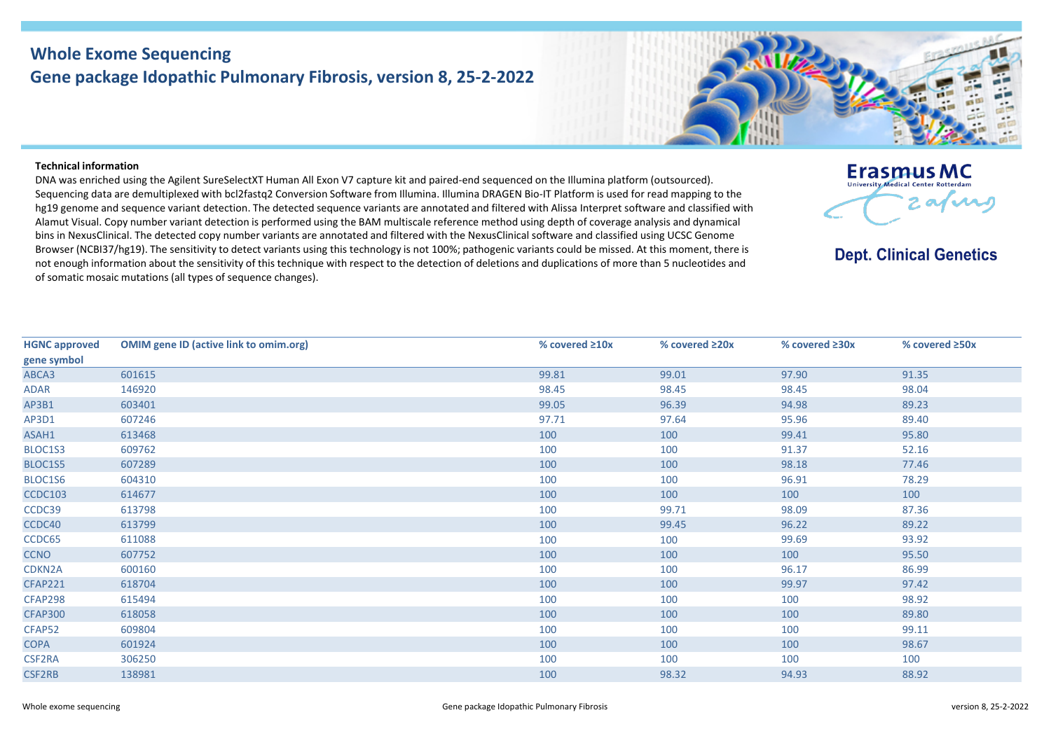## **Whole Exome Sequencing Gene package Idopathic Pulmonary Fibrosis, version 8, 25-2-2022**



## **Technical information**

DNA was enriched using the Agilent SureSelectXT Human All Exon V7 capture kit and paired-end sequenced on the Illumina platform (outsourced). Sequencing data are demultiplexed with bcl2fastq2 Conversion Software from Illumina. Illumina DRAGEN Bio-IT Platform is used for read mapping to the hg19 genome and sequence variant detection. The detected sequence variants are annotated and filtered with Alissa Interpret software and classified with Alamut Visual. Copy number variant detection is performed using the BAM multiscale reference method using depth of coverage analysis and dynamical bins in NexusClinical. The detected copy number variants are annotated and filtered with the NexusClinical software and classified using UCSC Genome Browser (NCBI37/hg19). The sensitivity to detect variants using this technology is not 100%; pathogenic variants could be missed. At this moment, there is not enough information about the sensitivity of this technique with respect to the detection of deletions and duplications of more than 5 nucleotides and of somatic mosaic mutations (all types of sequence changes).



**Dept. Clinical Genetics** 

| <b>HGNC approved</b> | <b>OMIM gene ID (active link to omim.org)</b> | % covered $\geq 10x$ | % covered ≥20x | % covered ≥30x | % covered ≥50x |
|----------------------|-----------------------------------------------|----------------------|----------------|----------------|----------------|
| gene symbol          |                                               |                      |                |                |                |
| ABCA3                | 601615                                        | 99.81                | 99.01          | 97.90          | 91.35          |
| ADAR                 | 146920                                        | 98.45                | 98.45          | 98.45          | 98.04          |
| AP3B1                | 603401                                        | 99.05                | 96.39          | 94.98          | 89.23          |
| AP3D1                | 607246                                        | 97.71                | 97.64          | 95.96          | 89.40          |
| ASAH1                | 613468                                        | 100                  | 100            | 99.41          | 95.80          |
| BLOC1S3              | 609762                                        | 100                  | 100            | 91.37          | 52.16          |
| BLOC1S5              | 607289                                        | 100                  | 100            | 98.18          | 77.46          |
| BLOC1S6              | 604310                                        | 100                  | 100            | 96.91          | 78.29          |
| <b>CCDC103</b>       | 614677                                        | 100                  | 100            | 100            | 100            |
| CCDC39               | 613798                                        | 100                  | 99.71          | 98.09          | 87.36          |
| CCDC40               | 613799                                        | 100                  | 99.45          | 96.22          | 89.22          |
| CCDC65               | 611088                                        | 100                  | 100            | 99.69          | 93.92          |
| <b>CCNO</b>          | 607752                                        | 100                  | 100            | 100            | 95.50          |
| CDKN2A               | 600160                                        | 100                  | 100            | 96.17          | 86.99          |
| <b>CFAP221</b>       | 618704                                        | 100                  | 100            | 99.97          | 97.42          |
| CFAP298              | 615494                                        | 100                  | 100            | 100            | 98.92          |
| <b>CFAP300</b>       | 618058                                        | 100                  | 100            | 100            | 89.80          |
| CFAP52               | 609804                                        | 100                  | 100            | 100            | 99.11          |
| <b>COPA</b>          | 601924                                        | 100                  | 100            | 100            | 98.67          |
| CSF2RA               | 306250                                        | 100                  | 100            | 100            | 100            |
| <b>CSF2RB</b>        | 138981                                        | 100                  | 98.32          | 94.93          | 88.92          |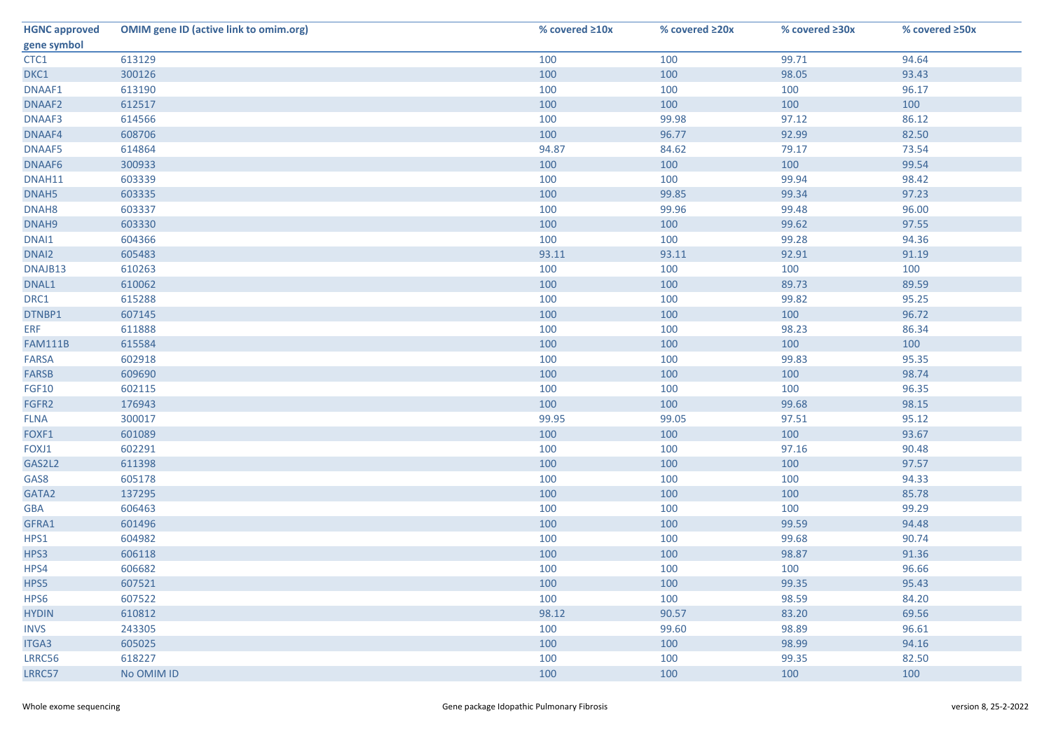| <b>HGNC approved</b> | <b>OMIM gene ID (active link to omim.org)</b> | % covered ≥10x | % covered ≥20x | % covered ≥30x | % covered ≥50x |
|----------------------|-----------------------------------------------|----------------|----------------|----------------|----------------|
| gene symbol          |                                               |                |                |                |                |
| CTC1                 | 613129                                        | 100            | 100            | 99.71          | 94.64          |
| DKC1                 | 300126                                        | 100            | 100            | 98.05          | 93.43          |
| DNAAF1               | 613190                                        | 100            | 100            | 100            | 96.17          |
| DNAAF2               | 612517                                        | 100            | 100            | 100            | 100            |
| DNAAF3               | 614566                                        | 100            | 99.98          | 97.12          | 86.12          |
| DNAAF4               | 608706                                        | 100            | 96.77          | 92.99          | 82.50          |
| DNAAF5               | 614864                                        | 94.87          | 84.62          | 79.17          | 73.54          |
| DNAAF6               | 300933                                        | 100            | 100            | 100            | 99.54          |
| DNAH11               | 603339                                        | 100            | 100            | 99.94          | 98.42          |
| DNAH5                | 603335                                        | 100            | 99.85          | 99.34          | 97.23          |
| DNAH <sub>8</sub>    | 603337                                        | 100            | 99.96          | 99.48          | 96.00          |
| DNAH9                | 603330                                        | 100            | 100            | 99.62          | 97.55          |
| DNAI1                | 604366                                        | 100            | 100            | 99.28          | 94.36          |
| DNAI2                | 605483                                        | 93.11          | 93.11          | 92.91          | 91.19          |
| DNAJB13              | 610263                                        | 100            | 100            | 100            | 100            |
| DNAL1                | 610062                                        | 100            | 100            | 89.73          | 89.59          |
| DRC1                 | 615288                                        | 100            | 100            | 99.82          | 95.25          |
| DTNBP1               | 607145                                        | 100            | 100            | 100            | 96.72          |
| <b>ERF</b>           | 611888                                        | 100            | 100            | 98.23          | 86.34          |
| <b>FAM111B</b>       | 615584                                        | 100            | 100            | 100            | 100            |
| <b>FARSA</b>         | 602918                                        | 100            | 100            | 99.83          | 95.35          |
| FARSB                | 609690                                        | 100            | 100            | 100            | 98.74          |
| <b>FGF10</b>         | 602115                                        | 100            | 100            | 100            | 96.35          |
| FGFR2                | 176943                                        | 100            | 100            | 99.68          | 98.15          |
| <b>FLNA</b>          | 300017                                        | 99.95          | 99.05          | 97.51          | 95.12          |
| FOXF1                | 601089                                        | 100            | 100            | 100            | 93.67          |
| FOXJ1                | 602291                                        | 100            | 100            | 97.16          | 90.48          |
| GAS2L2               | 611398                                        | 100            | 100            | 100            | 97.57          |
| GAS8                 | 605178                                        | 100            | 100            | 100            | 94.33          |
| GATA2                | 137295                                        | 100            | 100            | 100            | 85.78          |
| <b>GBA</b>           | 606463                                        | 100            | 100            | 100            | 99.29          |
| GFRA1                | 601496                                        | 100            | 100            | 99.59          | 94.48          |
| HPS1                 | 604982                                        | 100            | 100            | 99.68          | 90.74          |
| HPS3                 | 606118                                        | 100            | 100            | 98.87          | 91.36          |
| HPS4                 | 606682                                        | 100            | 100            | 100            | 96.66          |
| HPS5                 | 607521                                        | 100            | 100            | 99.35          | 95.43          |
| HPS6                 | 607522                                        | 100            | 100            | 98.59          | 84.20          |
| <b>HYDIN</b>         | 610812                                        | 98.12          | 90.57          | 83.20          | 69.56          |
| <b>INVS</b>          | 243305                                        | 100            | 99.60          | 98.89          | 96.61          |
| ITGA3                | 605025                                        | 100            | 100            | 98.99          | 94.16          |
| LRRC56               | 618227                                        | 100            | 100            | 99.35          | 82.50          |
| LRRC57               | No OMIM ID                                    | 100            | 100            | 100            | 100            |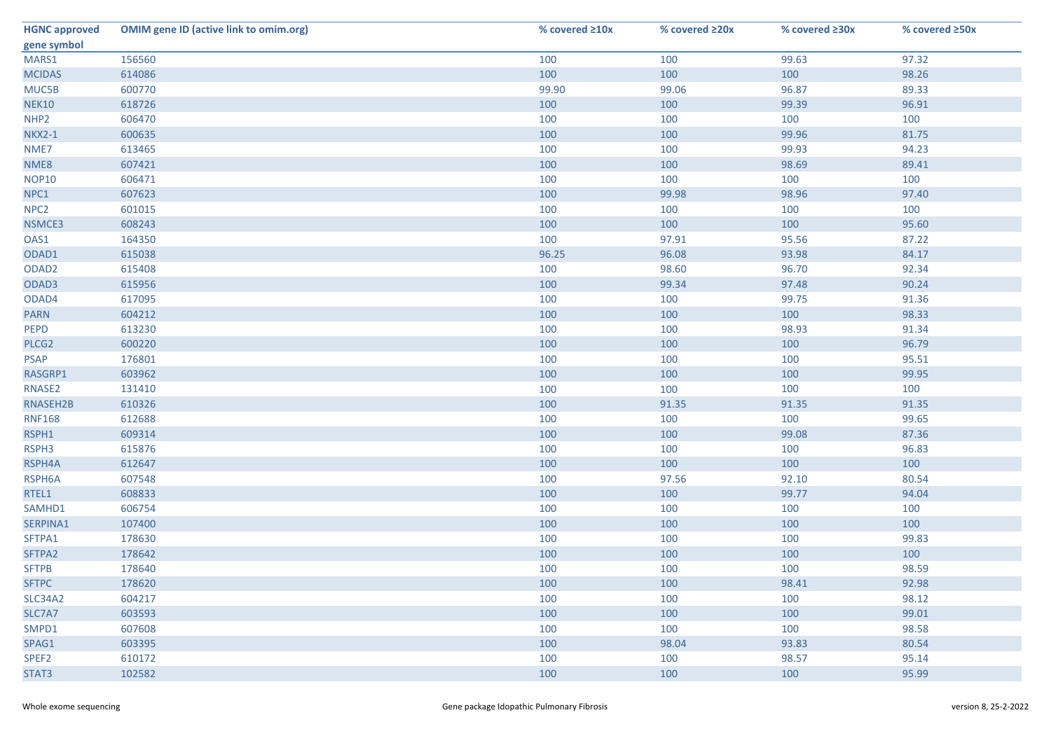| <b>HGNC approved</b> | <b>OMIM gene ID (active link to omim.org)</b> | % covered ≥10x | % covered ≥20x | % covered ≥30x | % covered ≥50x |
|----------------------|-----------------------------------------------|----------------|----------------|----------------|----------------|
| gene symbol          |                                               |                |                |                |                |
| MARS1                | 156560                                        | 100            | 100            | 99.63          | 97.32          |
| <b>MCIDAS</b>        | 614086                                        | 100            | 100            | 100            | 98.26          |
| MUC5B                | 600770                                        | 99.90          | 99.06          | 96.87          | 89.33          |
| <b>NEK10</b>         | 618726                                        | 100            | 100            | 99.39          | 96.91          |
| NHP <sub>2</sub>     | 606470                                        | 100            | 100            | 100            | 100            |
| <b>NKX2-1</b>        | 600635                                        | 100            | 100            | 99.96          | 81.75          |
| NME7                 | 613465                                        | 100            | 100            | 99.93          | 94.23          |
| NME8                 | 607421                                        | 100            | 100            | 98.69          | 89.41          |
| <b>NOP10</b>         | 606471                                        | 100            | 100            | 100            | 100            |
| NPC1                 | 607623                                        | 100            | 99.98          | 98.96          | 97.40          |
| NPC <sub>2</sub>     | 601015                                        | 100            | 100            | 100            | 100            |
| NSMCE3               | 608243                                        | 100            | 100            | 100            | 95.60          |
| OAS1                 | 164350                                        | 100            | 97.91          | 95.56          | 87.22          |
| ODAD1                | 615038                                        | 96.25          | 96.08          | 93.98          | 84.17          |
| ODAD <sub>2</sub>    | 615408                                        | 100            | 98.60          | 96.70          | 92.34          |
| ODAD3                | 615956                                        | 100            | 99.34          | 97.48          | 90.24          |
| ODAD4                | 617095                                        | 100            | 100            | 99.75          | 91.36          |
| <b>PARN</b>          | 604212                                        | 100            | 100            | 100            | 98.33          |
| PEPD                 | 613230                                        | 100            | 100            | 98.93          | 91.34          |
| PLCG2                | 600220                                        | 100            | 100            | 100            | 96.79          |
| <b>PSAP</b>          | 176801                                        | 100            | 100            | 100            | 95.51          |
| RASGRP1              | 603962                                        | 100            | 100            | 100            | 99.95          |
| RNASE2               | 131410                                        | 100            | 100            | 100            | 100            |
| RNASEH2B             | 610326                                        | 100            | 91.35          | 91.35          | 91.35          |
| <b>RNF168</b>        | 612688                                        | 100            | 100            | 100            | 99.65          |
| RSPH1                | 609314                                        | 100            | 100            | 99.08          | 87.36          |
| RSPH3                | 615876                                        | 100            | 100            | 100            | 96.83          |
| RSPH4A               | 612647                                        | 100            | 100            | 100            | 100            |
| RSPH6A               | 607548                                        | 100            | 97.56          | 92.10          | 80.54          |
| RTEL1                | 608833                                        | 100            | 100            | 99.77          | 94.04          |
| SAMHD1               | 606754                                        | 100            | 100            | 100            | 100            |
| SERPINA1             | 107400                                        | 100            | 100            | 100            | 100            |
| SFTPA1               | 178630                                        | 100            | 100            | 100            | 99.83          |
| SFTPA2               | 178642                                        | 100            | 100            | 100            | 100            |
| <b>SFTPB</b>         | 178640                                        | 100            | 100            | 100            | 98.59          |
| <b>SFTPC</b>         | 178620                                        | 100            | 100            | 98.41          | 92.98          |
| <b>SLC34A2</b>       | 604217                                        | 100            | 100            | 100            | 98.12          |
| SLC7A7               | 603593                                        | 100            | 100            | 100            | 99.01          |
| SMPD1                | 607608                                        | 100            | 100            | 100            | 98.58          |
| SPAG1                | 603395                                        | 100            | 98.04          | 93.83          | 80.54          |
| SPEF <sub>2</sub>    | 610172                                        | 100            | 100            | 98.57          | 95.14          |
| STAT3                | 102582                                        | 100            | 100            | 100            | 95.99          |